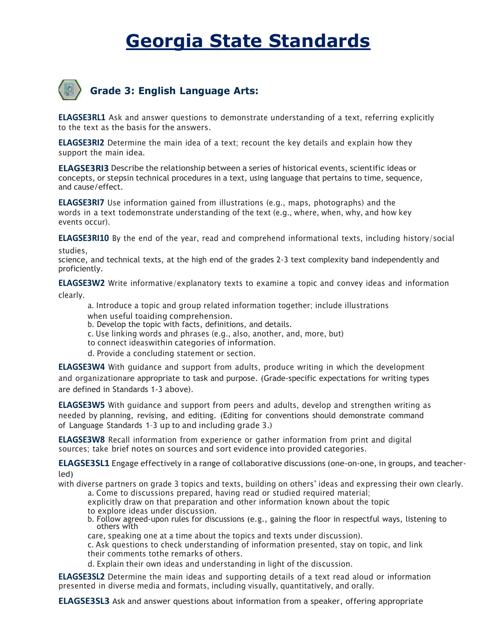# Georgia State Standards



**ELAGSE3RL1** Ask and answer questions to demonstrate understanding of a text, referring explicitly to the text as the basis for the answers.

ELAGSE3RI2 Determine the main idea of a text; recount the key details and explain how they support the main idea.

ELAGSE3RI3 Describe the relationship between a series of historical events, scientific ideas or concepts, or stepsin technical procedures in a text, using language that pertains to time, sequence, and cause/effect.

ELAGSE3RI7 Use information gained from illustrations (e.g., maps, photographs) and the words in a text todemonstrate understanding of the text (e.g., where, when, why, and how key events occur).

ELAGSE3RI10 By the end of the year, read and comprehend informational texts, including history/social studies,

science, and technical texts, at the high end of the grades 2-3 text complexity band independently and proficiently.

ELAGSE3W2 Write informative/explanatory texts to examine a topic and convey ideas and information

clearly.

a. Introduce a topic and group related information together; include illustrations when useful toaiding comprehension.

b. Develop the topic with facts, definitions, and details.

c. Use linking words and phrases (e.g., also, another, and, more, but)

to connect ideas within categories of information.

d. Provide a concluding statement or section.

ELAGSE3W4 With guidance and support from adults, produce writing in which the development and organizationare appropriate to task and purpose. (Grade-specific expectations for writing types are defined in Standards 1-3 above).

ELAGSE3W5 With guidance and support from peers and adults, develop and strengthen writing as needed by planning, revising, and editing. (Editing for conventions should demonstrate command of Language Standards 1–3 up to and including grade 3.)

ELAGSE3W8 Recall information from experience or gather information from print and digital sources; take brief notes on sources and sort evidence into provided categories.

ELAGSE3SL1 Engage effectively in a range of collaborative discussions (one-on-one, in groups, and teacherled)

with diverse partners on grade 3 topics and texts, building on others' ideas and expressing their own clearly.

a. Come to discussions prepared, having read or studied required material;

explicitly draw on that preparation and other information known about the topic

- to explore ideas under discussion.
- b. Follow agreed-upon rules for discussions (e.g., gaining the floor in respectful ways, listening to others with

care, speaking one at a time about the topics and texts under discussion).

c. Ask questions to check understanding of information presented, stay on topic, and link their comments tothe remarks of others.

d. Explain their own ideas and understanding in light of the discussion.

ELAGSE3SL2 Determine the main ideas and supporting details of a text read aloud or information presented in diverse media and formats, including visually, quantitatively, and orally.

ELAGSE3SL3 Ask and answer questions about information from a speaker, offering appropriate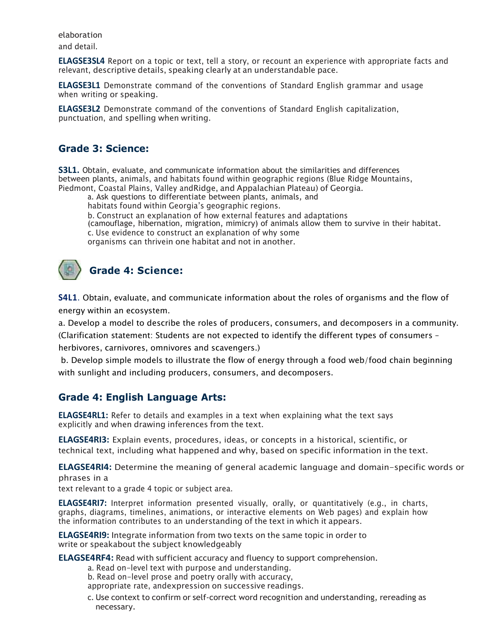elaboration and detail.

ELAGSE3SL4 Report on a topic or text, tell a story, or recount an experience with appropriate facts and relevant, descriptive details, speaking clearly at an understandable pace.

ELAGSE3L1 Demonstrate command of the conventions of Standard English grammar and usage when writing or speaking.

ELAGSE3L2 Demonstrate command of the conventions of Standard English capitalization, punctuation, and spelling when writing.

#### Grade 3: Science:

S3L1. Obtain, evaluate, and communicate information about the similarities and differences between plants, animals, and habitats found within geographic regions (Blue Ridge Mountains, Piedmont, Coastal Plains, Valley and Ridge, and Appalachian Plateau) of Georgia.

a. Ask questions to differentiate between plants, animals, and

habitats found within Georgia's geographic regions.

b. Construct an explanation of how external features and adaptations

(camouflage, hibernation, migration, mimicry) of animals allow them to survive in their habitat.

c. Use evidence to construct an explanation of why some

organisms can thrivein one habitat and not in another.

## Grade 4: Science:

S4L1. Obtain, evaluate, and communicate information about the roles of organisms and the flow of energy within an ecosystem.

a. Develop a model to describe the roles of producers, consumers, and decomposers in a community. (Clarification statement: Students are not expected to identify the different types of consumers – herbivores, carnivores, omnivores and scavengers.)

 b. Develop simple models to illustrate the flow of energy through a food web/food chain beginning with sunlight and including producers, consumers, and decomposers.

#### Grade 4: English Language Arts:

ELAGSE4RL1: Refer to details and examples in a text when explaining what the text says explicitly and when drawing inferences from the text.

ELAGSE4RI3: Explain events, procedures, ideas, or concepts in a historical, scientific, or technical text, including what happened and why, based on specific information in the text.

ELAGSE4RI4: Determine the meaning of general academic language and domain-specific words or phrases in a

text relevant to a grade 4 topic or subject area.

ELAGSE4RI7: Interpret information presented visually, orally, or quantitatively (e.g., in charts, graphs, diagrams, timelines, animations, or interactive elements on Web pages) and explain how the information contributes to an understanding of the text in which it appears.

ELAGSE4RI9: Integrate information from two texts on the same topic in order to write or speakabout the subject knowledgeably

ELAGSE4RF4: Read with sufficient accuracy and fluency to support comprehension.

- a. Read on-level text with purpose and understanding.
- b. Read on-level prose and poetry orally with accuracy,
- appropriate rate, and expression on successive readings.
- c. Use context to confirm or self-correct word recognition and understanding, rereading as necessary.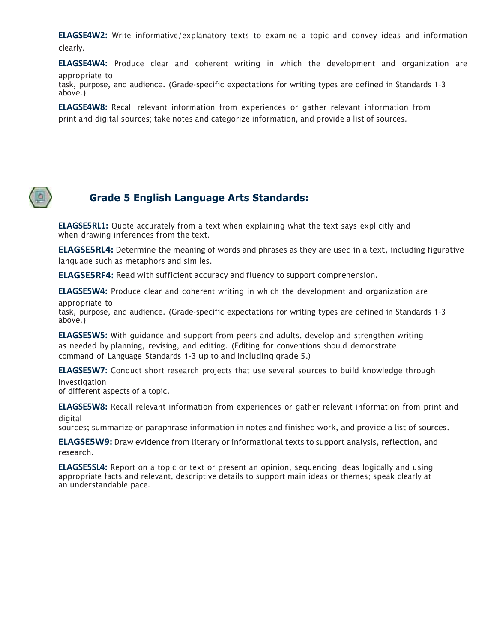ELAGSE4W2: Write informative/explanatory texts to examine a topic and convey ideas and information clearly.

ELAGSE4W4: Produce clear and coherent writing in which the development and organization are appropriate to

task, purpose, and audience. (Grade-specific expectations for writing types are defined in Standards 1–3 above.)

ELAGSE4W8: Recall relevant information from experiences or gather relevant information from print and digital sources; take notes and categorize information, and provide a list of sources.



#### Grade 5 English Language Arts Standards:

ELAGSE5RL1: Quote accurately from a text when explaining what the text says explicitly and when drawing inferences from the text.

ELAGSE5RL4: Determine the meaning of words and phrases as they are used in a text, including figurative language such as metaphors and similes.

ELAGSE5RF4: Read with sufficient accuracy and fluency to support comprehension.

ELAGSE5W4: Produce clear and coherent writing in which the development and organization are

appropriate to task, purpose, and audience. (Grade-specific expectations for writing types are defined in Standards 1–3 above.)

ELAGSE5W5: With guidance and support from peers and adults, develop and strengthen writing as needed by planning, revising, and editing. (Editing for conventions should demonstrate command of Language Standards 1–3 up to and including grade 5.)

ELAGSE5W7: Conduct short research projects that use several sources to build knowledge through investigation

of different aspects of a topic.

ELAGSE5W8: Recall relevant information from experiences or gather relevant information from print and digital

sources; summarize or paraphrase information in notes and finished work, and provide a list of sources.

ELAGSE5W9: Draw evidence from literary or informational texts to support analysis, reflection, and research.

ELAGSE5SL4: Report on a topic or text or present an opinion, sequencing ideas logically and using appropriate facts and relevant, descriptive details to support main ideas or themes; speak clearly at an understandable pace.